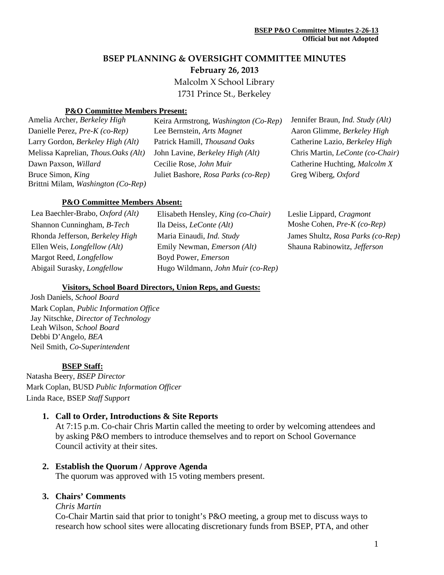# **BSEP PLANNING & OVERSIGHT COMMITTEE MINUTES**

**February 26, 2013**

Malcolm X School Library

1731 Prince St., Berkeley

#### **P&O Committee Members Present:**

Amelia Archer, *Berkeley High* Keira Armstrong, *Washington (Co-Rep)* Jennifer Braun, *Ind. Study (Alt)* Bruce Simon, *King* Brittni Milam, *Washington (Co-Rep)*

Danielle Perez, *Pre-K* (co-Rep) Lee Bernstein, *Arts Magnet* Aaron Glimme, *Berkeley High* Larry Gordon, *Berkeley High (Alt)* Patrick Hamill, *Thousand Oaks* Catherine Lazio, *Berkeley High* Melissa Kaprelian, *Thous.Oaks (Alt)* John Lavine, *Berkeley High (Alt)* Chris Martin, *LeConte (co-Chair)* Dawn Paxson, *Willard* Cecilie Rose, *John Muir* Catherine Huchting, *Malcolm X* Juliet Bashore, *Rosa Parks (co-Rep)* Greg Wiberg, *Oxford*

#### **P&O Committee Members Absent:**

| Lea Baechler-Brabo, Oxford (Alt)             | Elisabeth Hensley, King (co-Chair)       | Leslie Lippard, Cragmont          |
|----------------------------------------------|------------------------------------------|-----------------------------------|
| Shannon Cunningham, B-Tech                   | Ila Deiss, <i>LeConte</i> ( <i>Alt</i> ) | Moshe Cohen, Pre-K (co-Rep)       |
| Rhonda Jefferson, Berkeley High              | Maria Einaudi, Ind. Study                | James Shultz, Rosa Parks (co-Rep) |
| Ellen Weis, <i>Longfellow</i> ( <i>Alt</i> ) | Emily Newman, <i>Emerson</i> (Alt)       | Shauna Rabinowitz, Jefferson      |
| Margot Reed, <i>Longfellow</i>               | Boyd Power, <i>Emerson</i>               |                                   |
| Abigail Surasky, <i>Longfellow</i>           | Hugo Wildmann, John Muir (co-Rep)        |                                   |
|                                              |                                          |                                   |

#### **Visitors, School Board Directors, Union Reps, and Guests:**

Josh Daniels, *School Board* Mark Coplan, *Public Information Office* Jay Nitschke, *Director of Technology* Leah Wilson, *School Board* Debbi D'Angelo*, BEA* Neil Smith, *Co-Superintendent*

#### **BSEP Staff:**

Natasha Beery, *BSEP Director* Mark Coplan, BUSD *Public Information Officer* Linda Race, BSEP *Staff Support*

## **1. Call to Order, Introductions & Site Reports**

At 7:15 p.m. Co-chair Chris Martin called the meeting to order by welcoming attendees and by asking P&O members to introduce themselves and to report on School Governance Council activity at their sites.

#### **2. Establish the Quorum / Approve Agenda**

The quorum was approved with 15 voting members present.

#### **3. Chairs' Comments**

#### *Chris Martin*

Co-Chair Martin said that prior to tonight's P&O meeting, a group met to discuss ways to research how school sites were allocating discretionary funds from BSEP, PTA, and other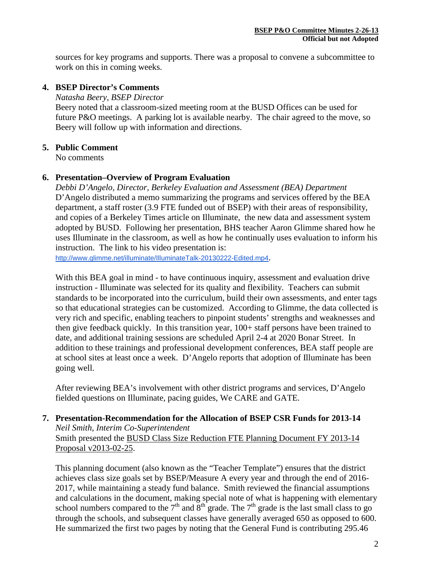sources for key programs and supports. There was a proposal to convene a subcommittee to work on this in coming weeks.

## **4. BSEP Director's Comments**

*Natasha Beery, BSEP Director*

Beery noted that a classroom-sized meeting room at the BUSD Offices can be used for future P&O meetings. A parking lot is available nearby. The chair agreed to the move, so Beery will follow up with information and directions.

## **5. Public Comment**

No comments

## **6. Presentation–Overview of Program Evaluation**

*Debbi D'Angelo, Director, Berkeley Evaluation and Assessment (BEA) Department* D'Angelo distributed a memo summarizing the programs and services offered by the BEA department, a staff roster (3.9 FTE funded out of BSEP) with their areas of responsibility, and copies of a Berkeley Times article on Illuminate, the new data and assessment system adopted by BUSD. Following her presentation, BHS teacher Aaron Glimme shared how he uses Illuminate in the classroom, as well as how he continually uses evaluation to inform his instruction. The link to his video presentation is:

<http://www.glimme.net/illuminate/IlluminateTalk-20130222-Edited.mp4>.

With this BEA goal in mind - to have continuous inquiry, assessment and evaluation drive instruction - Illuminate was selected for its quality and flexibility. Teachers can submit standards to be incorporated into the curriculum, build their own assessments, and enter tags so that educational strategies can be customized. According to Glimme, the data collected is very rich and specific, enabling teachers to pinpoint students' strengths and weaknesses and then give feedback quickly. In this transition year, 100+ staff persons have been trained to date, and additional training sessions are scheduled April 2-4 at 2020 Bonar Street. In addition to these trainings and professional development conferences, BEA staff people are at school sites at least once a week. D'Angelo reports that adoption of Illuminate has been going well.

After reviewing BEA's involvement with other district programs and services, D'Angelo fielded questions on Illuminate, pacing guides, We CARE and GATE.

## **7. Presentation-Recommendation for the Allocation of BSEP CSR Funds for 2013-14** *Neil Smith, Interim Co-Superintendent*

Smith presented the BUSD Class Size Reduction FTE Planning Document FY 2013-14 Proposal v2013-02-25.

This planning document (also known as the "Teacher Template") ensures that the district achieves class size goals set by BSEP/Measure A every year and through the end of 2016- 2017, while maintaining a steady fund balance. Smith reviewed the financial assumptions and calculations in the document, making special note of what is happening with elementary school numbers compared to the  $7<sup>th</sup>$  and  $8<sup>th</sup>$  grade. The  $7<sup>th</sup>$  grade is the last small class to go through the schools, and subsequent classes have generally averaged 650 as opposed to 600. He summarized the first two pages by noting that the General Fund is contributing 295.46